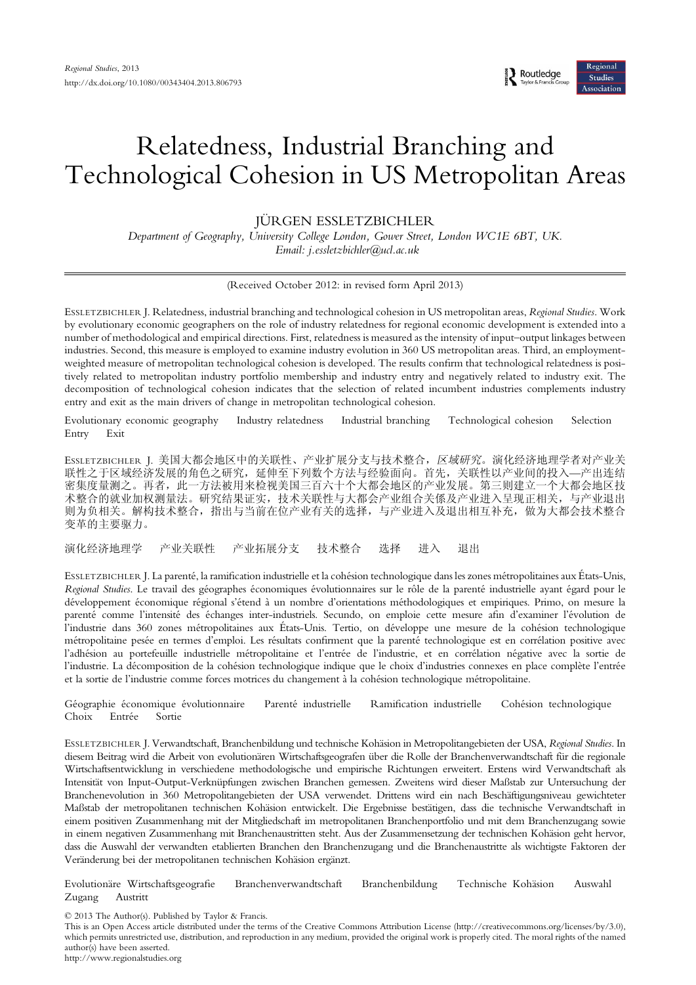

# Relatedness, Industrial Branching and Technological Cohesion in US Metropolitan Areas

# JÜRGEN ESSLETZBICHLER

Department of Geography, University College London, Gower Street, London WC1E 6BT, UK. Email: j.essletzbichler@ucl.ac.uk

(Received October 2012: in revised form April 2013)

ESSLETZBICHLER J. Relatedness, industrial branching and technological cohesion in US metropolitan areas, Regional Studies. Work by evolutionary economic geographers on the role of industry relatedness for regional economic development is extended into a number of methodological and empirical directions. First, relatedness is measured as the intensity of input–output linkages between industries. Second, this measure is employed to examine industry evolution in 360 US metropolitan areas. Third, an employmentweighted measure of metropolitan technological cohesion is developed. The results confirm that technological relatedness is positively related to metropolitan industry portfolio membership and industry entry and negatively related to industry exit. The decomposition of technological cohesion indicates that the selection of related incumbent industries complements industry entry and exit as the main drivers of change in metropolitan technological cohesion.

Evolutionary economic geography Industry relatedness Industrial branching Technological cohesion Selection Entry Exit

ESSLETZBICHLER J. 美国大都会地区中的关联性、产业扩展分支与技术整合, 区域研究。演化经济地理学者对产业关 联性之于区域经济发展的角色之研究,延伸至下列数个方法与经验面向。首先,关联性以产业间的投入—产出连结 密集度量测之。再者,此一方法被用来检视美国三百六十个大都会地区的产业发展。第三则建立一个大都会地区技 术整合的就业加权测量法。研究结果证实,技术关联性与大都会产业组合关係及产业进入呈现正相关,与产业退出 则为负相关。解构技术整合,指出与当前在位产业有关的选择,与产业进入及退出相互补充,做为大都会技术整合 变革的主要驱力。

演化经济地理学 产业关联性 产业拓展分支 技术整合 选择 进入 退出

ESSLETZBICHLER J. La parenté, la ramification industrielle et la cohésion technologique dans les zones métropolitaines aux États-Unis, Regional Studies. Le travail des géographes économiques évolutionnaires sur le rôle de la parenté industrielle ayant égard pour le développement économique régional s'étend à un nombre d'orientations méthodologiques et empiriques. Primo, on mesure la parenté comme l'intensité des échanges inter-industriels. Secundo, on emploie cette mesure afin d'examiner l'évolution de l'industrie dans 360 zones métropolitaines aux États-Unis. Tertio, on développe une mesure de la cohésion technologique métropolitaine pesée en termes d'emploi. Les résultats confirment que la parenté technologique est en corrélation positive avec l'adhésion au portefeuille industrielle métropolitaine et l'entrée de l'industrie, et en corrélation négative avec la sortie de l'industrie. La décomposition de la cohésion technologique indique que le choix d'industries connexes en place complète l'entrée et la sortie de l'industrie comme forces motrices du changement à la cohésion technologique métropolitaine.

Géographie économique évolutionnaire Parenté industrielle Ramification industrielle Cohésion technologique Choix Entrée Sortie

ESSLETZBICHLER J. Verwandtschaft, Branchenbildung und technische Kohäsion in Metropolitangebieten der USA, Regional Studies. In diesem Beitrag wird die Arbeit von evolutionären Wirtschaftsgeografen über die Rolle der Branchenverwandtschaft für die regionale Wirtschaftsentwicklung in verschiedene methodologische und empirische Richtungen erweitert. Erstens wird Verwandtschaft als Intensität von Input-Output-Verknüpfungen zwischen Branchen gemessen. Zweitens wird dieser Maßstab zur Untersuchung der Branchenevolution in 360 Metropolitangebieten der USA verwendet. Drittens wird ein nach Beschäftigungsniveau gewichteter Maßstab der metropolitanen technischen Kohäsion entwickelt. Die Ergebnisse bestätigen, dass die technische Verwandtschaft in einem positiven Zusammenhang mit der Mitgliedschaft im metropolitanen Branchenportfolio und mit dem Branchenzugang sowie in einem negativen Zusammenhang mit Branchenaustritten steht. Aus der Zusammensetzung der technischen Kohäsion geht hervor, dass die Auswahl der verwandten etablierten Branchen den Branchenzugang und die Branchenaustritte als wichtigste Faktoren der Veränderung bei der metropolitanen technischen Kohäsion ergänzt.

Evolutionäre Wirtschaftsgeografie Branchenverwandtschaft Branchenbildung Technische Kohäsion Auswahl Zugang Austritt

© 2013 The Author(s). Published by Taylor & Francis.

This is an Open Access article distributed under the terms of the Creative Commons Attribution License (http://creativecommons.org/licenses/by/3.0), which permits unrestricted use, distribution, and reproduction in any medium, provided the original work is properly cited. The moral rights of the named author(s) have been asserted.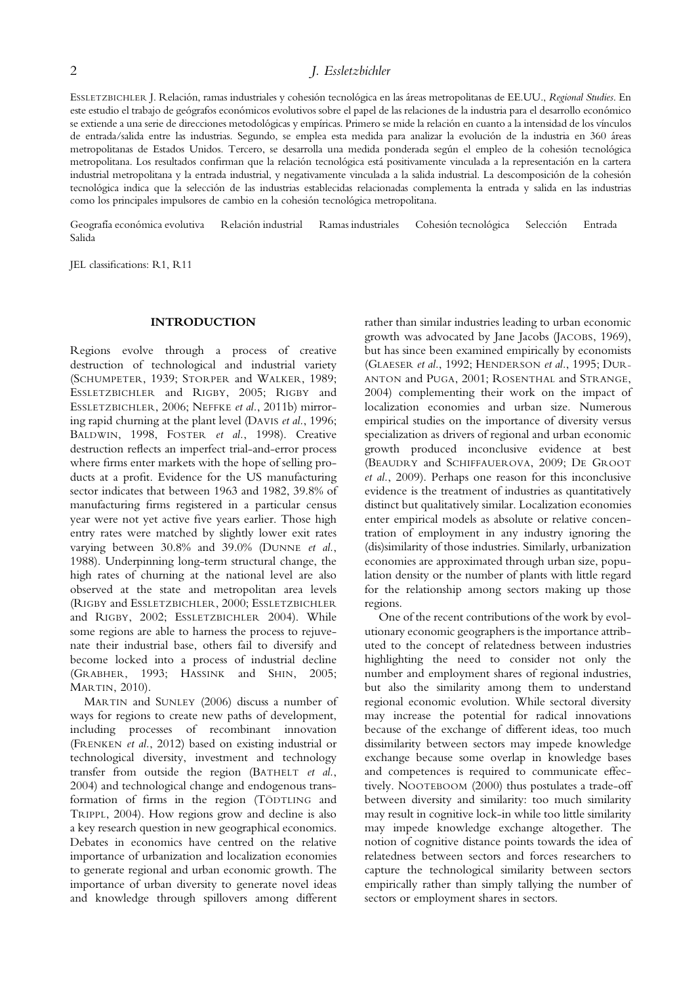## 2 J. Essletzbichler

ESSLETZBICHLER J. Relación, ramas industriales y cohesión tecnológica en las áreas metropolitanas de EE.UU., Regional Studies. En este estudio el trabajo de geógrafos económicos evolutivos sobre el papel de las relaciones de la industria para el desarrollo económico se extiende a una serie de direcciones metodológicas y empíricas. Primero se mide la relación en cuanto a la intensidad de los vínculos de entrada/salida entre las industrias. Segundo, se emplea esta medida para analizar la evolución de la industria en 360 áreas metropolitanas de Estados Unidos. Tercero, se desarrolla una medida ponderada según el empleo de la cohesión tecnológica metropolitana. Los resultados confirman que la relación tecnológica está positivamente vinculada a la representación en la cartera industrial metropolitana y la entrada industrial, y negativamente vinculada a la salida industrial. La descomposición de la cohesión tecnológica indica que la selección de las industrias establecidas relacionadas complementa la entrada y salida en las industrias como los principales impulsores de cambio en la cohesión tecnológica metropolitana.

Geografía económica evolutiva Relación industrial Ramas industriales Cohesión tecnológica Selección Entrada Salida

JEL classifications: R1, R11

#### INTRODUCTION

Regions evolve through a process of creative destruction of technological and industrial variety (SCHUMPETER, 1939; STORPER and WALKER, 1989; ESSLETZBICHLER and RIGBY, 2005; RIGBY and ESSLETZBICHLER, 2006; NEFFKE et al., 2011b) mirroring rapid churning at the plant level (DAVIS et al., 1996; BALDWIN, 1998, FOSTER et al., 1998). Creative destruction reflects an imperfect trial-and-error process where firms enter markets with the hope of selling products at a profit. Evidence for the US manufacturing sector indicates that between 1963 and 1982, 39.8% of manufacturing firms registered in a particular census year were not yet active five years earlier. Those high entry rates were matched by slightly lower exit rates varying between 30.8% and 39.0% (DUNNE et al., 1988). Underpinning long-term structural change, the high rates of churning at the national level are also observed at the state and metropolitan area levels (RIGBY and ESSLETZBICHLER, 2000; ESSLETZBICHLER and RIGBY, 2002; ESSLETZBICHLER 2004). While some regions are able to harness the process to rejuvenate their industrial base, others fail to diversify and become locked into a process of industrial decline (GRABHER, 1993; HASSINK and SHIN, 2005; MARTIN, 2010).

MARTIN and SUNLEY (2006) discuss a number of ways for regions to create new paths of development, including processes of recombinant innovation (FRENKEN et al., 2012) based on existing industrial or technological diversity, investment and technology transfer from outside the region (BATHELT et al., 2004) and technological change and endogenous transformation of firms in the region (TÖDTLING and TRIPPL, 2004). How regions grow and decline is also a key research question in new geographical economics. Debates in economics have centred on the relative importance of urbanization and localization economies to generate regional and urban economic growth. The importance of urban diversity to generate novel ideas and knowledge through spillovers among different

rather than similar industries leading to urban economic growth was advocated by Jane Jacobs (JACOBS, 1969), but has since been examined empirically by economists (GLAESER et al., 1992; HENDERSON et al., 1995; DUR-ANTON and PUGA, 2001; ROSENTHAL and STRANGE, 2004) complementing their work on the impact of localization economies and urban size. Numerous empirical studies on the importance of diversity versus specialization as drivers of regional and urban economic growth produced inconclusive evidence at best (BEAUDRY and SCHIFFAUEROVA, 2009; DE GROOT et al., 2009). Perhaps one reason for this inconclusive evidence is the treatment of industries as quantitatively distinct but qualitatively similar. Localization economies enter empirical models as absolute or relative concentration of employment in any industry ignoring the (dis)similarity of those industries. Similarly, urbanization economies are approximated through urban size, population density or the number of plants with little regard for the relationship among sectors making up those regions.

One of the recent contributions of the work by evolutionary economic geographers is the importance attributed to the concept of relatedness between industries highlighting the need to consider not only the number and employment shares of regional industries, but also the similarity among them to understand regional economic evolution. While sectoral diversity may increase the potential for radical innovations because of the exchange of different ideas, too much dissimilarity between sectors may impede knowledge exchange because some overlap in knowledge bases and competences is required to communicate effectively. NOOTEBOOM (2000) thus postulates a trade-off between diversity and similarity: too much similarity may result in cognitive lock-in while too little similarity may impede knowledge exchange altogether. The notion of cognitive distance points towards the idea of relatedness between sectors and forces researchers to capture the technological similarity between sectors empirically rather than simply tallying the number of sectors or employment shares in sectors.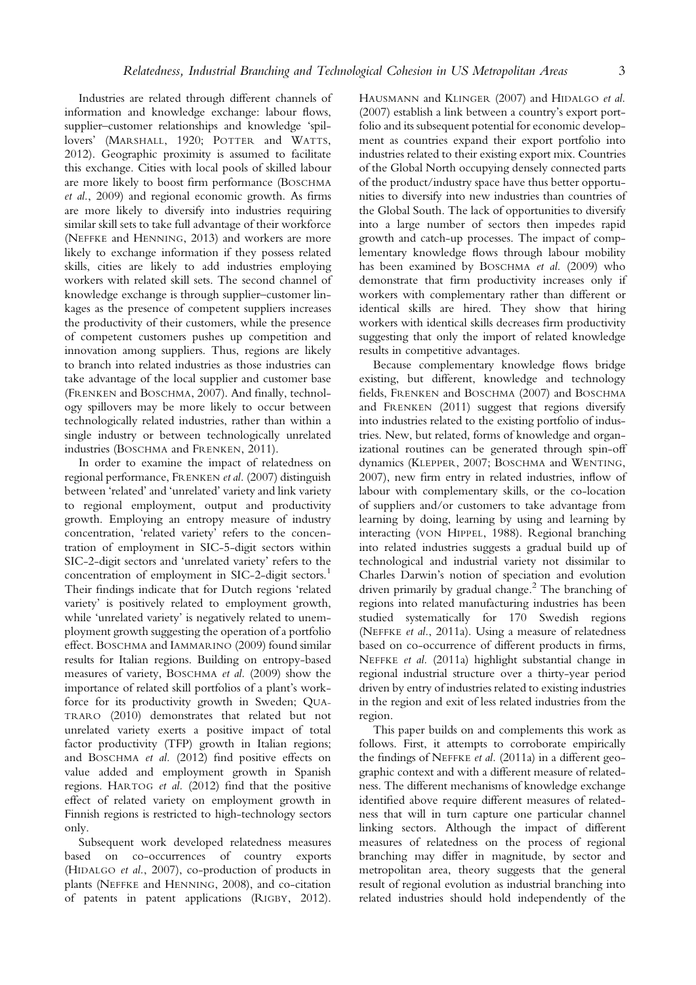Industries are related through different channels of information and knowledge exchange: labour flows, supplier–customer relationships and knowledge 'spillovers' (MARSHALL, 1920; POTTER and WATTS, 2012). Geographic proximity is assumed to facilitate this exchange. Cities with local pools of skilled labour are more likely to boost firm performance (BOSCHMA et al., 2009) and regional economic growth. As firms are more likely to diversify into industries requiring similar skill sets to take full advantage of their workforce (NEFFKE and HENNING, 2013) and workers are more likely to exchange information if they possess related skills, cities are likely to add industries employing workers with related skill sets. The second channel of knowledge exchange is through supplier–customer linkages as the presence of competent suppliers increases the productivity of their customers, while the presence of competent customers pushes up competition and innovation among suppliers. Thus, regions are likely to branch into related industries as those industries can take advantage of the local supplier and customer base (FRENKEN and BOSCHMA, 2007). And finally, technology spillovers may be more likely to occur between technologically related industries, rather than within a single industry or between technologically unrelated industries (BOSCHMA and FRENKEN, 2011).

In order to examine the impact of relatedness on regional performance, FRENKEN et al. (2007) distinguish between 'related' and 'unrelated' variety and link variety to regional employment, output and productivity growth. Employing an entropy measure of industry concentration, 'related variety' refers to the concentration of employment in SIC-5-digit sectors within SIC-2-digit sectors and 'unrelated variety' refers to the concentration of employment in SIC-2-digit sectors.<sup>1</sup> Their findings indicate that for Dutch regions 'related variety' is positively related to employment growth, while 'unrelated variety' is negatively related to unemployment growth suggesting the operation of a portfolio effect. BOSCHMA and IAMMARINO (2009) found similar results for Italian regions. Building on entropy-based measures of variety, BOSCHMA et al. (2009) show the importance of related skill portfolios of a plant's workforce for its productivity growth in Sweden; QUA-TRARO (2010) demonstrates that related but not unrelated variety exerts a positive impact of total factor productivity (TFP) growth in Italian regions; and BOSCHMA et al. (2012) find positive effects on value added and employment growth in Spanish regions. HARTOG et al. (2012) find that the positive effect of related variety on employment growth in Finnish regions is restricted to high-technology sectors only.

Subsequent work developed relatedness measures based on co-occurrences of country exports (HIDALGO et al., 2007), co-production of products in plants (NEFFKE and HENNING, 2008), and co-citation of patents in patent applications (RIGBY, 2012).

HAUSMANN and KLINGER (2007) and HIDALGO et al. (2007) establish a link between a country's export portfolio and its subsequent potential for economic development as countries expand their export portfolio into industries related to their existing export mix. Countries of the Global North occupying densely connected parts of the product/industry space have thus better opportunities to diversify into new industries than countries of the Global South. The lack of opportunities to diversify into a large number of sectors then impedes rapid growth and catch-up processes. The impact of complementary knowledge flows through labour mobility has been examined by BOSCHMA et al. (2009) who demonstrate that firm productivity increases only if workers with complementary rather than different or identical skills are hired. They show that hiring workers with identical skills decreases firm productivity suggesting that only the import of related knowledge results in competitive advantages.

Because complementary knowledge flows bridge existing, but different, knowledge and technology fields, FRENKEN and BOSCHMA (2007) and BOSCHMA and FRENKEN (2011) suggest that regions diversify into industries related to the existing portfolio of industries. New, but related, forms of knowledge and organizational routines can be generated through spin-off dynamics (KLEPPER, 2007; BOSCHMA and WENTING, 2007), new firm entry in related industries, inflow of labour with complementary skills, or the co-location of suppliers and/or customers to take advantage from learning by doing, learning by using and learning by interacting (VON HIPPEL, 1988). Regional branching into related industries suggests a gradual build up of technological and industrial variety not dissimilar to Charles Darwin's notion of speciation and evolution driven primarily by gradual change.<sup>2</sup> The branching of regions into related manufacturing industries has been studied systematically for 170 Swedish regions (NEFFKE et al., 2011a). Using a measure of relatedness based on co-occurrence of different products in firms, NEFFKE et al. (2011a) highlight substantial change in regional industrial structure over a thirty-year period driven by entry of industries related to existing industries in the region and exit of less related industries from the region.

This paper builds on and complements this work as follows. First, it attempts to corroborate empirically the findings of NEFFKE et al. (2011a) in a different geographic context and with a different measure of relatedness. The different mechanisms of knowledge exchange identified above require different measures of relatedness that will in turn capture one particular channel linking sectors. Although the impact of different measures of relatedness on the process of regional branching may differ in magnitude, by sector and metropolitan area, theory suggests that the general result of regional evolution as industrial branching into related industries should hold independently of the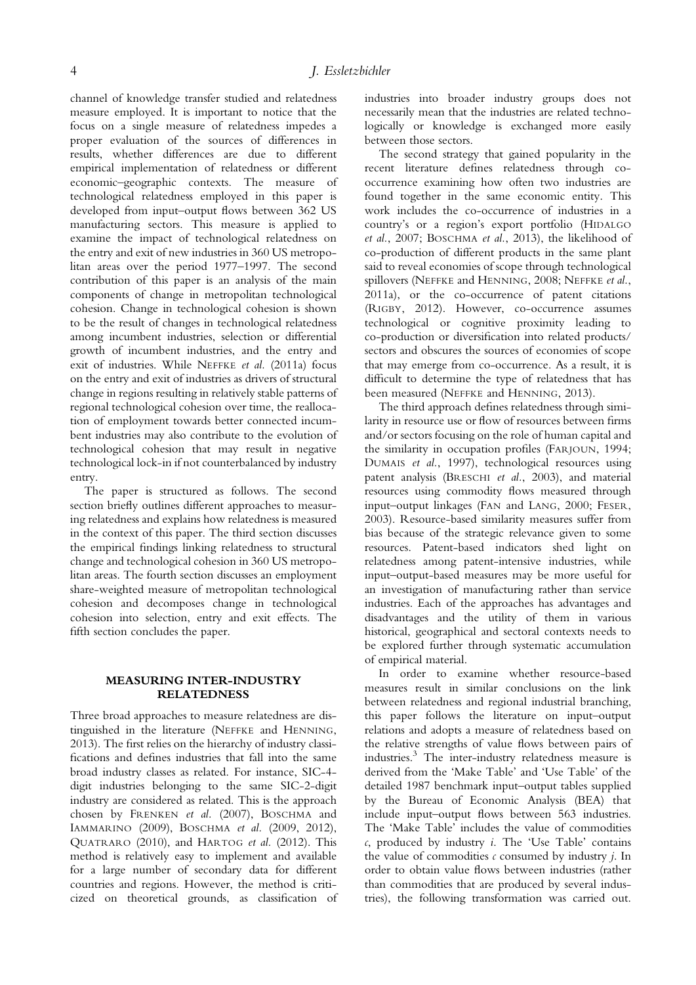channel of knowledge transfer studied and relatedness measure employed. It is important to notice that the focus on a single measure of relatedness impedes a proper evaluation of the sources of differences in results, whether differences are due to different empirical implementation of relatedness or different economic–geographic contexts. The measure of technological relatedness employed in this paper is developed from input–output flows between 362 US manufacturing sectors. This measure is applied to examine the impact of technological relatedness on the entry and exit of new industries in 360 US metropolitan areas over the period 1977–1997. The second contribution of this paper is an analysis of the main components of change in metropolitan technological cohesion. Change in technological cohesion is shown to be the result of changes in technological relatedness among incumbent industries, selection or differential growth of incumbent industries, and the entry and exit of industries. While NEFFKE et al. (2011a) focus on the entry and exit of industries as drivers of structural change in regions resulting in relatively stable patterns of regional technological cohesion over time, the reallocation of employment towards better connected incumbent industries may also contribute to the evolution of technological cohesion that may result in negative technological lock-in if not counterbalanced by industry entry.

The paper is structured as follows. The second section briefly outlines different approaches to measuring relatedness and explains how relatedness is measured in the context of this paper. The third section discusses the empirical findings linking relatedness to structural change and technological cohesion in 360 US metropolitan areas. The fourth section discusses an employment share-weighted measure of metropolitan technological cohesion and decomposes change in technological cohesion into selection, entry and exit effects. The fifth section concludes the paper.

### MEASURING INTER-INDUSTRY RELATEDNESS

Three broad approaches to measure relatedness are distinguished in the literature (NEFFKE and HENNING, 2013). The first relies on the hierarchy of industry classifications and defines industries that fall into the same broad industry classes as related. For instance, SIC-4 digit industries belonging to the same SIC-2-digit industry are considered as related. This is the approach chosen by FRENKEN et al. (2007), BOSCHMA and IAMMARINO (2009), BOSCHMA et al. (2009, 2012), QUATRARO (2010), and HARTOG et al. (2012). This method is relatively easy to implement and available for a large number of secondary data for different countries and regions. However, the method is criticized on theoretical grounds, as classification of industries into broader industry groups does not necessarily mean that the industries are related technologically or knowledge is exchanged more easily between those sectors.

The second strategy that gained popularity in the recent literature defines relatedness through cooccurrence examining how often two industries are found together in the same economic entity. This work includes the co-occurrence of industries in a country's or a region's export portfolio (HIDALGO et al., 2007; BOSCHMA et al., 2013), the likelihood of co-production of different products in the same plant said to reveal economies of scope through technological spillovers (NEFFKE and HENNING, 2008; NEFFKE et al., 2011a), or the co-occurrence of patent citations (RIGBY, 2012). However, co-occurrence assumes technological or cognitive proximity leading to co-production or diversification into related products/ sectors and obscures the sources of economies of scope that may emerge from co-occurrence. As a result, it is difficult to determine the type of relatedness that has been measured (NEFFKE and HENNING, 2013).

The third approach defines relatedness through similarity in resource use or flow of resources between firms and/or sectors focusing on the role of human capital and the similarity in occupation profiles (FARJOUN, 1994; DUMAIS et al., 1997), technological resources using patent analysis (BRESCHI et al., 2003), and material resources using commodity flows measured through input–output linkages (FAN and LANG, 2000; FESER, 2003). Resource-based similarity measures suffer from bias because of the strategic relevance given to some resources. Patent-based indicators shed light on relatedness among patent-intensive industries, while input–output-based measures may be more useful for an investigation of manufacturing rather than service industries. Each of the approaches has advantages and disadvantages and the utility of them in various historical, geographical and sectoral contexts needs to be explored further through systematic accumulation of empirical material.

In order to examine whether resource-based measures result in similar conclusions on the link between relatedness and regional industrial branching, this paper follows the literature on input–output relations and adopts a measure of relatedness based on the relative strengths of value flows between pairs of industries.3 The inter-industry relatedness measure is derived from the 'Make Table' and 'Use Table' of the detailed 1987 benchmark input–output tables supplied by the Bureau of Economic Analysis (BEA) that include input–output flows between 563 industries. The 'Make Table' includes the value of commodities  $c$ , produced by industry  $i$ . The 'Use Table' contains the value of commodities  $\epsilon$  consumed by industry  $j$ . In order to obtain value flows between industries (rather than commodities that are produced by several industries), the following transformation was carried out.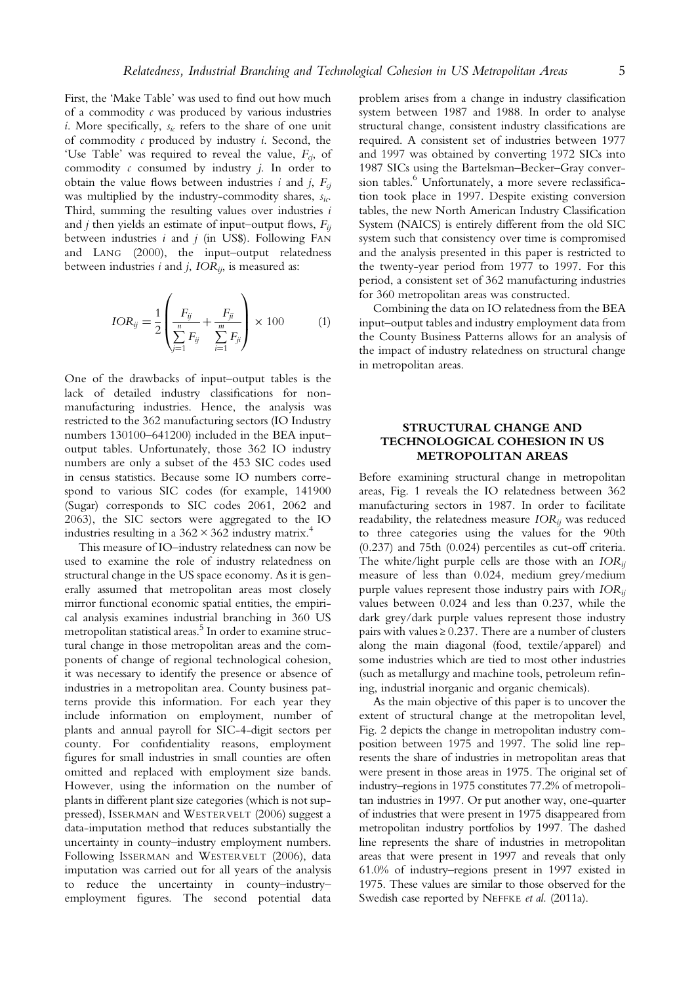First, the 'Make Table' was used to find out how much of a commodity  $c$  was produced by various industries i. More specifically,  $s_{ic}$  refers to the share of one unit of commodity  $\epsilon$  produced by industry  $i$ . Second, the 'Use Table' was required to reveal the value,  $F_{ci}$ , of commodity  $c$  consumed by industry  $j$ . In order to obtain the value flows between industries *i* and *j*,  $F_{ci}$ was multiplied by the industry-commodity shares,  $s_{ic}$ . Third, summing the resulting values over industries  $i$ and *j* then yields an estimate of input–output flows,  $F_{ii}$ between industries  $i$  and  $j$  (in US\$). Following FAN and LANG (2000), the input–output relatedness between industries i and j,  $IOR_{ij}$ , is measured as:

$$
IOR_{ij} = \frac{1}{2} \left( \frac{F_{ij}}{\sum_{j=1}^{n} F_{ij}} + \frac{F_{ji}}{\sum_{i=1}^{m} F_{ji}} \right) \times 100 \tag{1}
$$

One of the drawbacks of input–output tables is the lack of detailed industry classifications for nonmanufacturing industries. Hence, the analysis was restricted to the 362 manufacturing sectors (IO Industry numbers 130100–641200) included in the BEA input– output tables. Unfortunately, those 362 IO industry numbers are only a subset of the 453 SIC codes used in census statistics. Because some IO numbers correspond to various SIC codes (for example, 141900 (Sugar) corresponds to SIC codes 2061, 2062 and 2063), the SIC sectors were aggregated to the IO industries resulting in a  $362 \times 362$  industry matrix.<sup>4</sup>

This measure of IO–industry relatedness can now be used to examine the role of industry relatedness on structural change in the US space economy. As it is generally assumed that metropolitan areas most closely mirror functional economic spatial entities, the empirical analysis examines industrial branching in 360 US metropolitan statistical areas.<sup>5</sup> In order to examine structural change in those metropolitan areas and the components of change of regional technological cohesion, it was necessary to identify the presence or absence of industries in a metropolitan area. County business patterns provide this information. For each year they include information on employment, number of plants and annual payroll for SIC-4-digit sectors per county. For confidentiality reasons, employment figures for small industries in small counties are often omitted and replaced with employment size bands. However, using the information on the number of plants in different plant size categories (which is not suppressed), ISSERMAN and WESTERVELT (2006) suggest a data-imputation method that reduces substantially the uncertainty in county–industry employment numbers. Following ISSERMAN and WESTERVELT (2006), data imputation was carried out for all years of the analysis to reduce the uncertainty in county–industry– employment figures. The second potential data

problem arises from a change in industry classification system between 1987 and 1988. In order to analyse structural change, consistent industry classifications are required. A consistent set of industries between 1977 and 1997 was obtained by converting 1972 SICs into 1987 SICs using the Bartelsman–Becker–Gray conversion tables.<sup>6</sup> Unfortunately, a more severe reclassification took place in 1997. Despite existing conversion tables, the new North American Industry Classification System (NAICS) is entirely different from the old SIC system such that consistency over time is compromised and the analysis presented in this paper is restricted to the twenty-year period from 1977 to 1997. For this period, a consistent set of 362 manufacturing industries for 360 metropolitan areas was constructed.

Combining the data on IO relatedness from the BEA input–output tables and industry employment data from the County Business Patterns allows for an analysis of the impact of industry relatedness on structural change in metropolitan areas.

## STRUCTURAL CHANGE AND TECHNOLOGICAL COHESION IN US METROPOLITAN AREAS

Before examining structural change in metropolitan areas, Fig. 1 reveals the IO relatedness between 362 manufacturing sectors in 1987. In order to facilitate readability, the relatedness measure  $IOR_{ij}$  was reduced to three categories using the values for the 90th (0.237) and 75th (0.024) percentiles as cut-off criteria. The white/light purple cells are those with an  $IOR_{ii}$ measure of less than 0.024, medium grey/medium purple values represent those industry pairs with  $IOR_{ii}$ values between 0.024 and less than 0.237, while the dark grey/dark purple values represent those industry pairs with values  $\geq 0.237$ . There are a number of clusters along the main diagonal (food, textile/apparel) and some industries which are tied to most other industries (such as metallurgy and machine tools, petroleum refining, industrial inorganic and organic chemicals).

As the main objective of this paper is to uncover the extent of structural change at the metropolitan level, Fig. 2 depicts the change in metropolitan industry composition between 1975 and 1997. The solid line represents the share of industries in metropolitan areas that were present in those areas in 1975. The original set of industry–regions in 1975 constitutes 77.2% of metropolitan industries in 1997. Or put another way, one-quarter of industries that were present in 1975 disappeared from metropolitan industry portfolios by 1997. The dashed line represents the share of industries in metropolitan areas that were present in 1997 and reveals that only 61.0% of industry–regions present in 1997 existed in 1975. These values are similar to those observed for the Swedish case reported by NEFFKE et al. (2011a).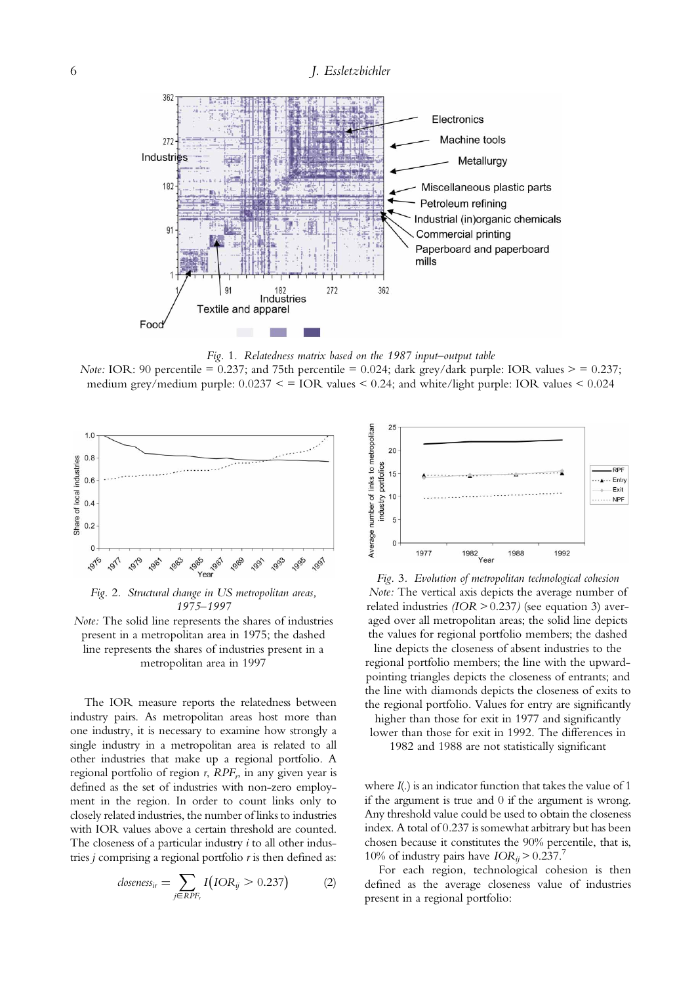

Fig. 1. Relatedness matrix based on the 1987 input–output table

Note: IOR: 90 percentile = 0.237; and 75th percentile = 0.024; dark grey/dark purple: IOR values  $>$  = 0.237; medium grey/medium purple:  $0.0237 \leq$  = IOR values  $\leq 0.24$ ; and white/light purple: IOR values  $\leq 0.024$ 



Fig. 2. Structural change in US metropolitan areas, 1975–1997

Note: The solid line represents the shares of industries present in a metropolitan area in 1975; the dashed line represents the shares of industries present in a metropolitan area in 1997

The IOR measure reports the relatedness between industry pairs. As metropolitan areas host more than one industry, it is necessary to examine how strongly a single industry in a metropolitan area is related to all other industries that make up a regional portfolio. A regional portfolio of region  $r$ ,  $RPF<sub>r</sub>$ , in any given year is defined as the set of industries with non-zero employment in the region. In order to count links only to closely related industries, the number of links to industries with IOR values above a certain threshold are counted. The closeness of a particular industry  $i$  to all other industries *j* comprising a regional portfolio  $r$  is then defined as:

$$
doseness_{ir} = \sum_{j \in RPF_r} I\big(IOR_{ij} > 0.237\big) \tag{2}
$$



Fig. 3. Evolution of metropolitan technological cohesion Note: The vertical axis depicts the average number of related industries  $(IOR > 0.237)$  (see equation 3) averaged over all metropolitan areas; the solid line depicts the values for regional portfolio members; the dashed

line depicts the closeness of absent industries to the regional portfolio members; the line with the upwardpointing triangles depicts the closeness of entrants; and the line with diamonds depicts the closeness of exits to the regional portfolio. Values for entry are significantly

higher than those for exit in 1977 and significantly lower than those for exit in 1992. The differences in 1982 and 1988 are not statistically significant

where I(.) is an indicator function that takes the value of 1 if the argument is true and 0 if the argument is wrong. Any threshold value could be used to obtain the closeness index. A total of 0.237 is somewhat arbitrary but has been chosen because it constitutes the 90% percentile, that is, 10% of industry pairs have  $IOR_{ii} > 0.237$ .

For each region, technological cohesion is then defined as the average closeness value of industries present in a regional portfolio: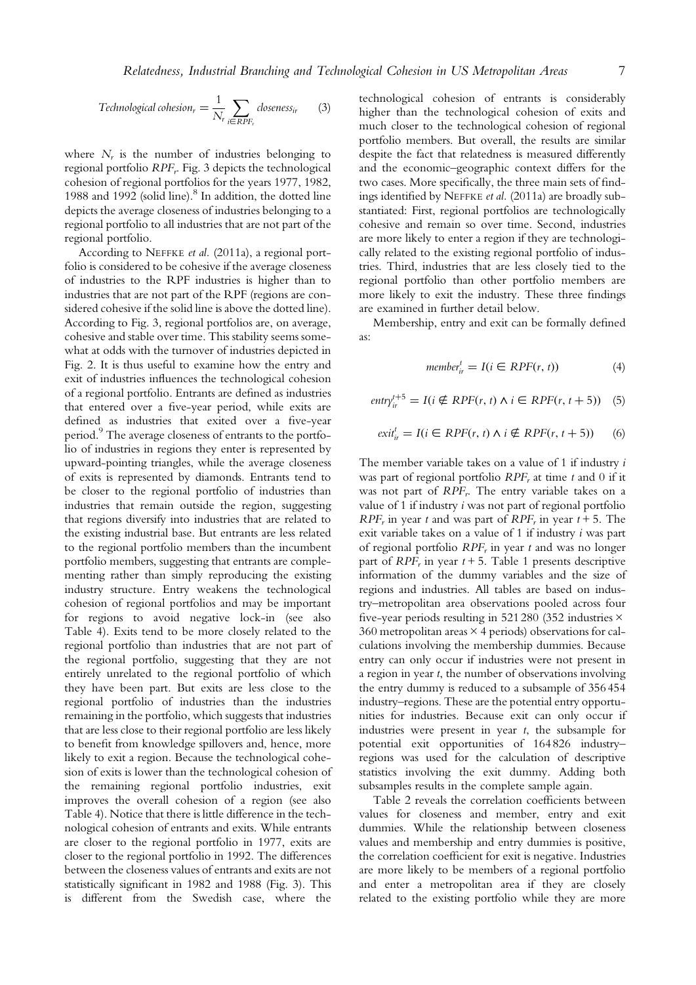$$
Technological cohesionr = \frac{1}{N_r} \sum_{i \in RPF_r} closeness_{ir} \tag{3}
$$

where  $N_r$  is the number of industries belonging to regional portfolio  $RPF_r$ . Fig. 3 depicts the technological cohesion of regional portfolios for the years 1977, 1982, 1988 and 1992 (solid line). $8$  In addition, the dotted line depicts the average closeness of industries belonging to a regional portfolio to all industries that are not part of the regional portfolio.

According to NEFFKE et al. (2011a), a regional portfolio is considered to be cohesive if the average closeness of industries to the RPF industries is higher than to industries that are not part of the RPF (regions are considered cohesive if the solid line is above the dotted line). According to Fig. 3, regional portfolios are, on average, cohesive and stable over time. This stability seems somewhat at odds with the turnover of industries depicted in Fig. 2. It is thus useful to examine how the entry and exit of industries influences the technological cohesion of a regional portfolio. Entrants are defined as industries that entered over a five-year period, while exits are defined as industries that exited over a five-year period.<sup>9</sup> The average closeness of entrants to the portfolio of industries in regions they enter is represented by upward-pointing triangles, while the average closeness of exits is represented by diamonds. Entrants tend to be closer to the regional portfolio of industries than industries that remain outside the region, suggesting that regions diversify into industries that are related to the existing industrial base. But entrants are less related to the regional portfolio members than the incumbent portfolio members, suggesting that entrants are complementing rather than simply reproducing the existing industry structure. Entry weakens the technological cohesion of regional portfolios and may be important for regions to avoid negative lock-in (see also Table 4). Exits tend to be more closely related to the regional portfolio than industries that are not part of the regional portfolio, suggesting that they are not entirely unrelated to the regional portfolio of which they have been part. But exits are less close to the regional portfolio of industries than the industries remaining in the portfolio, which suggests that industries that are less close to their regional portfolio are less likely to benefit from knowledge spillovers and, hence, more likely to exit a region. Because the technological cohesion of exits is lower than the technological cohesion of the remaining regional portfolio industries, exit improves the overall cohesion of a region (see also Table 4). Notice that there is little difference in the technological cohesion of entrants and exits. While entrants are closer to the regional portfolio in 1977, exits are closer to the regional portfolio in 1992. The differences between the closeness values of entrants and exits are not statistically significant in 1982 and 1988 (Fig. 3). This is different from the Swedish case, where the

technological cohesion of entrants is considerably higher than the technological cohesion of exits and much closer to the technological cohesion of regional portfolio members. But overall, the results are similar despite the fact that relatedness is measured differently and the economic–geographic context differs for the two cases. More specifically, the three main sets of findings identified by NEFFKE et al. (2011a) are broadly substantiated: First, regional portfolios are technologically cohesive and remain so over time. Second, industries are more likely to enter a region if they are technologically related to the existing regional portfolio of industries. Third, industries that are less closely tied to the regional portfolio than other portfolio members are more likely to exit the industry. These three findings are examined in further detail below.

Membership, entry and exit can be formally defined as:

$$
member_{ir}^t = I(i \in RPF(r, t))
$$
\n<sup>(4)</sup>

$$
entry_{ir}^{t+5} = I(i \notin RPF(r, t) \land i \in RPF(r, t+5)) \quad (5)
$$

$$
exit_{ir}^t = I(i \in RPF(r, t) \land i \notin RPF(r, t+5)) \qquad (6)
$$

The member variable takes on a value of 1 if industry *i* was part of regional portfolio  $RPF_r$  at time t and 0 if it was not part of  $RPF_r$ . The entry variable takes on a value of 1 if industry i was not part of regional portfolio  $RPF_r$  in year t and was part of  $RPF_r$  in year  $t + 5$ . The exit variable takes on a value of 1 if industry i was part of regional portfolio  $RPF<sub>r</sub>$  in year t and was no longer part of  $RPF<sub>r</sub>$  in year  $t + 5$ . Table 1 presents descriptive information of the dummy variables and the size of regions and industries. All tables are based on industry–metropolitan area observations pooled across four five-year periods resulting in 521 280 (352 industries  $\times$ 360 metropolitan areas  $\times$  4 periods) observations for calculations involving the membership dummies. Because entry can only occur if industries were not present in a region in year t, the number of observations involving the entry dummy is reduced to a subsample of 356454 industry–regions. These are the potential entry opportunities for industries. Because exit can only occur if industries were present in year  $t$ , the subsample for potential exit opportunities of 164 826 industry– regions was used for the calculation of descriptive statistics involving the exit dummy. Adding both subsamples results in the complete sample again.

Table 2 reveals the correlation coefficients between values for closeness and member, entry and exit dummies. While the relationship between closeness values and membership and entry dummies is positive, the correlation coefficient for exit is negative. Industries are more likely to be members of a regional portfolio and enter a metropolitan area if they are closely related to the existing portfolio while they are more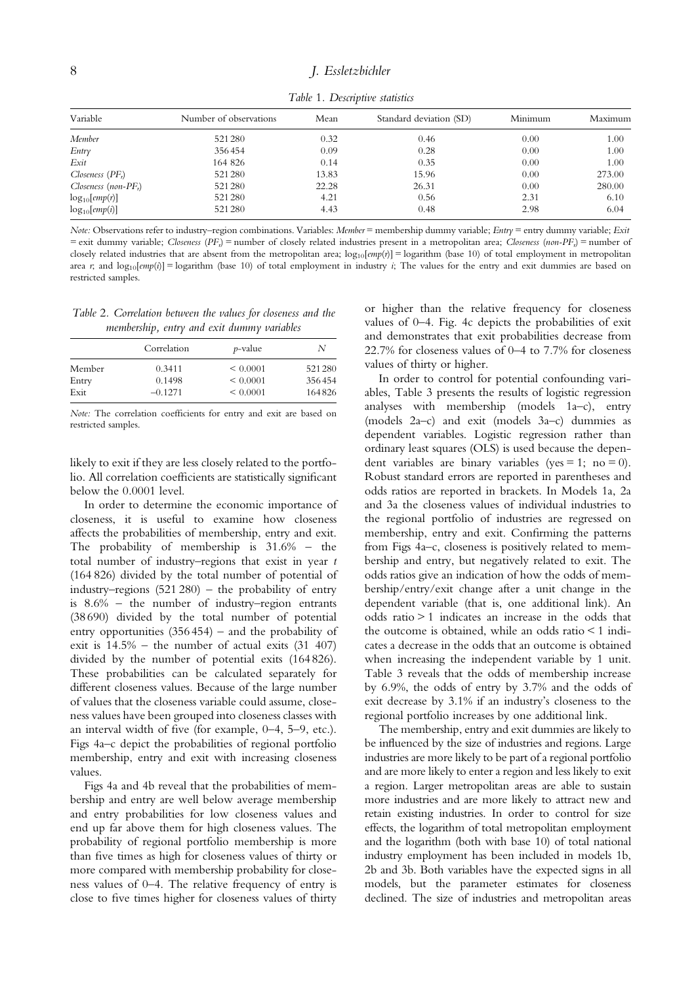Table 1. Descriptive statistics

| Variable                 | Number of observations | Mean  | Standard deviation (SD) | Minimum | Maximum |  |
|--------------------------|------------------------|-------|-------------------------|---------|---------|--|
| Member                   | 521280                 | 0.32  | 0.46                    | 0.00    | 1.00    |  |
| Entry                    | 356454                 | 0.09  | 0.28                    | 0.00    | 1.00    |  |
| Exit                     | 164 826                | 0.14  | 0.35                    | 0.00    | 1.00    |  |
| $Closeness (PF_r)$       | 521280                 | 13.83 | 15.96                   | 0.00    | 273.00  |  |
| Closeness (non- $PF_r$ ) | 521280                 | 22.28 | 26.31                   | 0.00    | 280.00  |  |
| $\log_{10}[emp(r)]$      | 521280                 | 4.21  | 0.56                    | 2.31    | 6.10    |  |
| $log_{10}[emp(i)]$       | 521280                 | 4.43  | 0.48                    | 2.98    | 6.04    |  |

Note: Observations refer to industry–region combinations. Variables: Member = membership dummy variable; Entry = entry dummy variable; Exit  $=$  exit dummy variable; *Closeness* (PF<sub>r</sub>) = number of closely related industries present in a metropolitan area; *Closeness* (non-PF<sub>r</sub>) = number of closely related industries that are absent from the metropolitan area;  $\log_{10}[emp(r)] = \logarithm$  (base 10) of total employment in metropolitan area r; and  $\log_{10}[\text{emp}(i)] = \log_{10}[\text{temp}(t)]$  for total employment in industry i; The values for the entry and exit dummies are based on restricted samples.

Table 2. Correlation between the values for closeness and the membership, entry and exit dummy variables

|        | Correlation | <i>p</i> -value | N      |  |
|--------|-------------|-----------------|--------|--|
| Member | 0.3411      | ${}< 0.0001$    | 521280 |  |
| Entry  | 0.1498      | $\leq 0.0001$   | 356454 |  |
| Exit   | $-0.1271$   | $\leq 0.0001$   | 164826 |  |

Note: The correlation coefficients for entry and exit are based on restricted samples.

likely to exit if they are less closely related to the portfolio. All correlation coefficients are statistically significant below the 0.0001 level.

In order to determine the economic importance of closeness, it is useful to examine how closeness affects the probabilities of membership, entry and exit. The probability of membership is 31.6% – the total number of industry–regions that exist in year t (164 826) divided by the total number of potential of industry–regions (521 280) – the probability of entry is 8.6% – the number of industry–region entrants (38 690) divided by the total number of potential entry opportunities (356 454) – and the probability of exit is  $14.5\%$  – the number of actual exits  $(31\;407)$ divided by the number of potential exits (164826). These probabilities can be calculated separately for different closeness values. Because of the large number of values that the closeness variable could assume, closeness values have been grouped into closeness classes with an interval width of five (for example, 0–4, 5–9, etc.). Figs 4a–c depict the probabilities of regional portfolio membership, entry and exit with increasing closeness values.

Figs 4a and 4b reveal that the probabilities of membership and entry are well below average membership and entry probabilities for low closeness values and end up far above them for high closeness values. The probability of regional portfolio membership is more than five times as high for closeness values of thirty or more compared with membership probability for closeness values of 0–4. The relative frequency of entry is close to five times higher for closeness values of thirty

or higher than the relative frequency for closeness values of 0–4. Fig. 4c depicts the probabilities of exit and demonstrates that exit probabilities decrease from 22.7% for closeness values of 0–4 to 7.7% for closeness values of thirty or higher.

In order to control for potential confounding variables, Table 3 presents the results of logistic regression analyses with membership (models 1a–c), entry (models 2a–c) and exit (models 3a–c) dummies as dependent variables. Logistic regression rather than ordinary least squares (OLS) is used because the dependent variables are binary variables (yes = 1; no = 0). Robust standard errors are reported in parentheses and odds ratios are reported in brackets. In Models 1a, 2a and 3a the closeness values of individual industries to the regional portfolio of industries are regressed on membership, entry and exit. Confirming the patterns from Figs 4a–c, closeness is positively related to membership and entry, but negatively related to exit. The odds ratios give an indication of how the odds of membership/entry/exit change after a unit change in the dependent variable (that is, one additional link). An odds ratio > 1 indicates an increase in the odds that the outcome is obtained, while an odds ratio  $\leq 1$  indicates a decrease in the odds that an outcome is obtained when increasing the independent variable by 1 unit. Table 3 reveals that the odds of membership increase by 6.9%, the odds of entry by 3.7% and the odds of exit decrease by 3.1% if an industry's closeness to the regional portfolio increases by one additional link.

The membership, entry and exit dummies are likely to be influenced by the size of industries and regions. Large industries are more likely to be part of a regional portfolio and are more likely to enter a region and less likely to exit a region. Larger metropolitan areas are able to sustain more industries and are more likely to attract new and retain existing industries. In order to control for size effects, the logarithm of total metropolitan employment and the logarithm (both with base 10) of total national industry employment has been included in models 1b, 2b and 3b. Both variables have the expected signs in all models, but the parameter estimates for closeness declined. The size of industries and metropolitan areas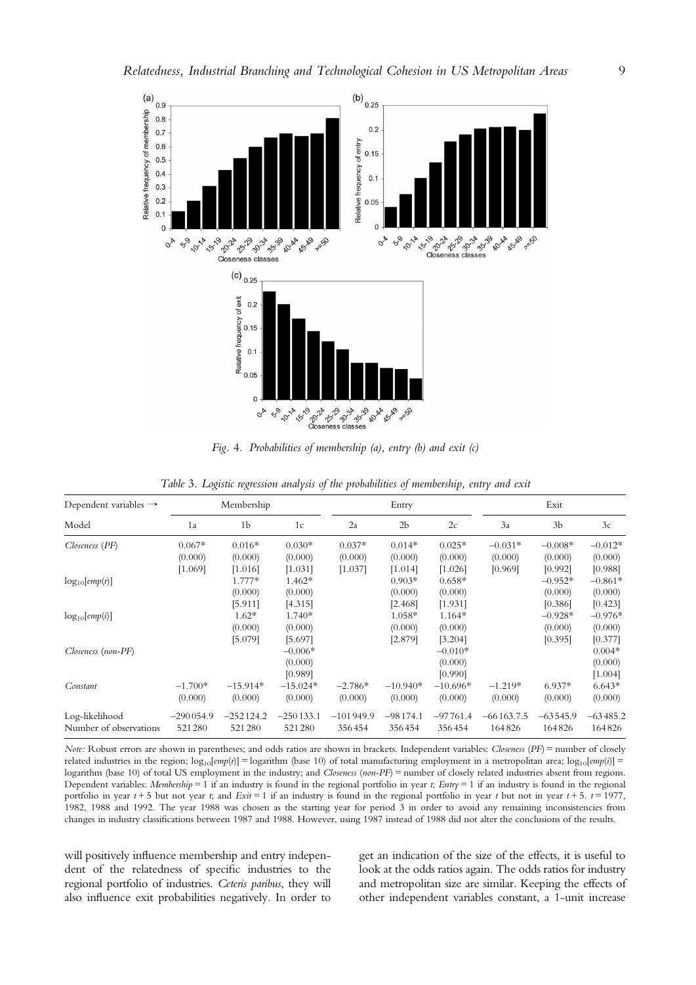

Fig. 4. Probabilities of membership (a), entry (b) and exit (c)

| Dependent variables $\rightarrow$ | Membership  |                |             | Entry       |                |            | Exit         |                |            |
|-----------------------------------|-------------|----------------|-------------|-------------|----------------|------------|--------------|----------------|------------|
| Model                             | 1a          | 1 <sub>b</sub> | 1c          | 2a          | 2 <sub>b</sub> | 2c         | 3a           | 3 <sub>b</sub> | 3c         |
| Closeness (PF)                    | $0.067*$    | $0.016*$       | $0.030*$    | $0.037*$    | $0.014*$       | $0.025*$   | $-0.031*$    | $-0.008*$      | $-0.012*$  |
|                                   | (0.000)     | (0.000)        | (0.000)     | (0.000)     | (0.000)        | (0.000)    | (0.000)      | (0.000)        | (0.000)    |
|                                   | [1.069]     | [1.016]        | [1.031]     | [1.037]     | [1.014]        | [1.026]    | [0.969]      | [0.992]        | [0.988]    |
| $\log_{10}[\text{emp}(r)]$        |             | 1.777*         | 1.462*      |             | $0.903*$       | $0.658*$   |              | $-0.952*$      | $-0.861*$  |
|                                   |             | (0.000)        | (0.000)     |             | (0.000)        | (0.000)    |              | (0.000)        | (0.000)    |
|                                   |             | [5.911]        | [4.315]     |             | [2.468]        | [1.931]    |              | [0.386]        | [0.423]    |
| $log_{10}[emp(i)]$                |             | $1.62*$        | $1.740*$    |             | 1.058*         | $1.164*$   |              | $-0.928*$      | $-0.976*$  |
|                                   |             | (0.000)        | (0.000)     |             | (0.000)        | (0.000)    |              | (0.000)        | (0.000)    |
|                                   |             | [5.079]        | [5.697]     |             | [2.879]        | [3.204]    |              | [0.395]        | [0.377]    |
| $Closeness (non-PF)$              |             |                | $-0.006*$   |             |                | $-0.010*$  |              |                | $0.004*$   |
|                                   |             |                | (0.000)     |             |                | (0.000)    |              |                | (0.000)    |
|                                   |             |                | [0.989]     |             |                | [0.990]    |              |                | [1.004]    |
| Constant                          | $-1.700*$   | $-15.914*$     | $-15.024*$  | $-2.786*$   | $-10.940*$     | $-10.696*$ | $-1.219*$    | $6.937*$       | $6.643*$   |
|                                   | (0.000)     | (0.000)        | (0.000)     | (0.000)     | (0.000)        | (0.000)    | (0.000)      | (0.000)        | (0.000)    |
| Log-likelihood                    | $-290054.9$ | $-252124.2$    | $-250133.1$ | $-101949.9$ | $-98174.1$     | $-97761.4$ | $-66163.7.5$ | $-63545.9$     | $-63485.2$ |
| Number of observations            | 521280      | 521280         | 521280      | 356454      | 356454         | 356454     | 164826       | 164826         | 164826     |

Table 3. Logistic regression analysis of the probabilities of membership, entry and exit

Note: Robust errors are shown in parentheses; and odds ratios are shown in brackets. Independent variables: Closeness (PF) = number of closely related industries in the region;  $log_{10}[emp(r)] = logarithm$  (base 10) of total manufacturing employment in a metropolitan area;  $log_{10}[emp(r)] =$ logarithm (base 10) of total US employment in the industry; and Closeness (non-PF) = number of closely related industries absent from regions. Dependent variables: Membership = 1 if an industry is found in the regional portfolio in year t; Entry = 1 if an industry is found in the regional portfolio in year  $t + 5$  but not year t; and Exit = 1 if an industry is found in the regional portfolio in year t but not in year  $t + 5$ .  $t = 1977$ , 1982, 1988 and 1992. The year 1988 was chosen as the starting year for period 3 in order to avoid any remaining inconsistencies from changes in industry classifications between 1987 and 1988. However, using 1987 instead of 1988 did not alter the conclusions of the results.

will positively influence membership and entry independent of the relatedness of specific industries to the regional portfolio of industries. Ceteris paribus, they will also influence exit probabilities negatively. In order to get an indication of the size of the effects, it is useful to look at the odds ratios again. The odds ratios for industry and metropolitan size are similar. Keeping the effects of other independent variables constant, a 1-unit increase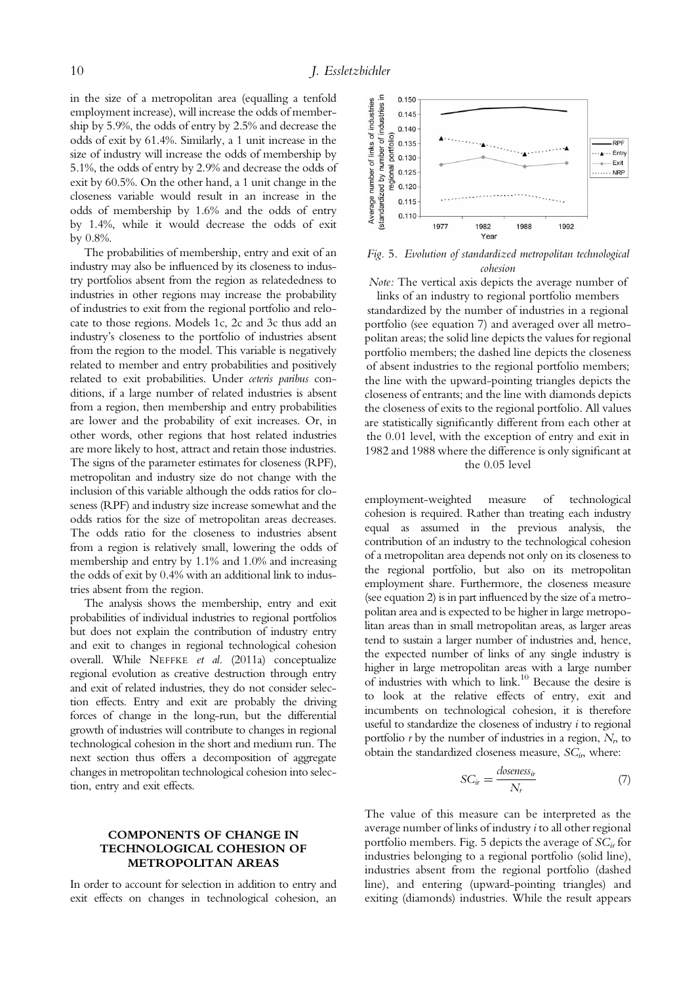in the size of a metropolitan area (equalling a tenfold employment increase), will increase the odds of membership by 5.9%, the odds of entry by 2.5% and decrease the odds of exit by 61.4%. Similarly, a 1 unit increase in the size of industry will increase the odds of membership by 5.1%, the odds of entry by 2.9% and decrease the odds of exit by 60.5%. On the other hand, a 1 unit change in the closeness variable would result in an increase in the odds of membership by 1.6% and the odds of entry by 1.4%, while it would decrease the odds of exit by 0.8%.

The probabilities of membership, entry and exit of an industry may also be influenced by its closeness to industry portfolios absent from the region as relatededness to industries in other regions may increase the probability of industries to exit from the regional portfolio and relocate to those regions. Models 1c, 2c and 3c thus add an industry's closeness to the portfolio of industries absent from the region to the model. This variable is negatively related to member and entry probabilities and positively related to exit probabilities. Under ceteris paribus conditions, if a large number of related industries is absent from a region, then membership and entry probabilities are lower and the probability of exit increases. Or, in other words, other regions that host related industries are more likely to host, attract and retain those industries. The signs of the parameter estimates for closeness (RPF), metropolitan and industry size do not change with the inclusion of this variable although the odds ratios for closeness (RPF) and industry size increase somewhat and the odds ratios for the size of metropolitan areas decreases. The odds ratio for the closeness to industries absent from a region is relatively small, lowering the odds of membership and entry by 1.1% and 1.0% and increasing the odds of exit by 0.4% with an additional link to industries absent from the region.

The analysis shows the membership, entry and exit probabilities of individual industries to regional portfolios but does not explain the contribution of industry entry and exit to changes in regional technological cohesion overall. While NEFFKE et al. (2011a) conceptualize regional evolution as creative destruction through entry and exit of related industries, they do not consider selection effects. Entry and exit are probably the driving forces of change in the long-run, but the differential growth of industries will contribute to changes in regional technological cohesion in the short and medium run. The next section thus offers a decomposition of aggregate changes in metropolitan technological cohesion into selection, entry and exit effects.

## COMPONENTS OF CHANGE IN TECHNOLOGICAL COHESION OF METROPOLITAN AREAS

In order to account for selection in addition to entry and exit effects on changes in technological cohesion, an



Fig. 5. Evolution of standardized metropolitan technological cohesion

Note: The vertical axis depicts the average number of

links of an industry to regional portfolio members standardized by the number of industries in a regional portfolio (see equation 7) and averaged over all metropolitan areas; the solid line depicts the values for regional portfolio members; the dashed line depicts the closeness of absent industries to the regional portfolio members; the line with the upward-pointing triangles depicts the closeness of entrants; and the line with diamonds depicts the closeness of exits to the regional portfolio. All values are statistically significantly different from each other at the 0.01 level, with the exception of entry and exit in 1982 and 1988 where the difference is only significant at the 0.05 level

employment-weighted measure of technological cohesion is required. Rather than treating each industry equal as assumed in the previous analysis, the contribution of an industry to the technological cohesion of a metropolitan area depends not only on its closeness to the regional portfolio, but also on its metropolitan employment share. Furthermore, the closeness measure (see equation 2) is in part influenced by the size of a metropolitan area and is expected to be higher in large metropolitan areas than in small metropolitan areas, as larger areas tend to sustain a larger number of industries and, hence, the expected number of links of any single industry is higher in large metropolitan areas with a large number of industries with which to link.10 Because the desire is to look at the relative effects of entry, exit and incumbents on technological cohesion, it is therefore useful to standardize the closeness of industry i to regional portfolio  $r$  by the number of industries in a region,  $N_r$ , to obtain the standardized closeness measure,  $SC_{ir}$ , where:

$$
SC_{ir} = \frac{doseness_{ir}}{N_r} \tag{7}
$$

The value of this measure can be interpreted as the average number of links of industry i to all other regional portfolio members. Fig. 5 depicts the average of  $SC_{ir}$  for industries belonging to a regional portfolio (solid line), industries absent from the regional portfolio (dashed line), and entering (upward-pointing triangles) and exiting (diamonds) industries. While the result appears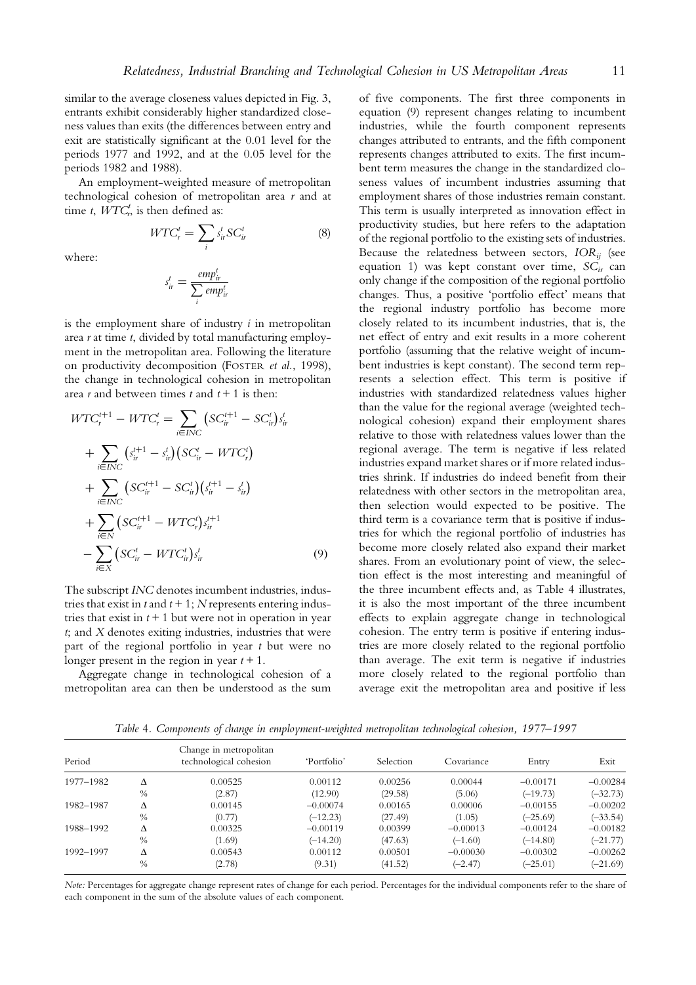$(8)$ 

similar to the average closeness values depicted in Fig. 3, entrants exhibit considerably higher standardized closeness values than exits (the differences between entry and exit are statistically significant at the 0.01 level for the periods 1977 and 1992, and at the 0.05 level for the periods 1982 and 1988).

An employment-weighted measure of metropolitan technological cohesion of metropolitan area r and at time t,  $\widetilde{WTC}^t_r$  is then defined as:

 $s_{ir}^t SC_i^t$ 

 $WTC_r^t = \sum_i$ 

where:

$$
s_{ir}^t = \frac{emp_{ir}^t}{\sum_i emp_{ir}^t}
$$

is the employment share of industry  $i$  in metropolitan area  $r$  at time  $t$ , divided by total manufacturing employment in the metropolitan area. Following the literature on productivity decomposition (FOSTER et al., 1998), the change in technological cohesion in metropolitan area r and between times t and  $t + 1$  is then:

$$
WTC_r^{t+1} - WTC_r^t = \sum_{i \in INC} (SC_{ir}^{t+1} - SC_{ir}^t) s_{ir}^t
$$
  
+ 
$$
\sum_{i \in INC} (s_{ir}^{t+1} - s_{ir}^t) (SC_{ir}^t - WTC_r^t)
$$
  
+ 
$$
\sum_{i \in INC} (SC_{ir}^{t+1} - SC_{ir}^t) (s_{ir}^{t+1} - s_{ir}^t)
$$
  
+ 
$$
\sum_{i \in N} (SC_{ir}^{t+1} - WTC_r^t) s_{ir}^{t+1}
$$
  
- 
$$
\sum_{i \in X} (SC_{ir}^t - WTC_{ir}^t) s_{ir}^t
$$
 (9)

The subscript INC denotes incumbent industries, industries that exist in  $t$  and  $t + 1$ ; N represents entering industries that exist in  $t + 1$  but were not in operation in year t; and X denotes exiting industries, industries that were part of the regional portfolio in year  $t$  but were no longer present in the region in year  $t + 1$ .

Aggregate change in technological cohesion of a metropolitan area can then be understood as the sum

of five components. The first three components in equation (9) represent changes relating to incumbent industries, while the fourth component represents changes attributed to entrants, and the fifth component represents changes attributed to exits. The first incumbent term measures the change in the standardized closeness values of incumbent industries assuming that employment shares of those industries remain constant. This term is usually interpreted as innovation effect in productivity studies, but here refers to the adaptation of the regional portfolio to the existing sets of industries. Because the relatedness between sectors,  $IOR_{ii}$  (see equation 1) was kept constant over time,  $SC_{ir}$  can only change if the composition of the regional portfolio changes. Thus, a positive 'portfolio effect' means that the regional industry portfolio has become more closely related to its incumbent industries, that is, the net effect of entry and exit results in a more coherent portfolio (assuming that the relative weight of incumbent industries is kept constant). The second term represents a selection effect. This term is positive if industries with standardized relatedness values higher than the value for the regional average (weighted technological cohesion) expand their employment shares relative to those with relatedness values lower than the regional average. The term is negative if less related industries expand market shares or if more related industries shrink. If industries do indeed benefit from their relatedness with other sectors in the metropolitan area, then selection would expected to be positive. The third term is a covariance term that is positive if industries for which the regional portfolio of industries has become more closely related also expand their market shares. From an evolutionary point of view, the selection effect is the most interesting and meaningful of the three incumbent effects and, as Table 4 illustrates, it is also the most important of the three incumbent effects to explain aggregate change in technological cohesion. The entry term is positive if entering industries are more closely related to the regional portfolio than average. The exit term is negative if industries more closely related to the regional portfolio than average exit the metropolitan area and positive if less

Table 4. Components of change in employment-weighted metropolitan technological cohesion, 1977–1997

| Period    |      | Change in metropolitan<br>technological cohesion | 'Portfolio' | Selection | Covariance | Entry      | Exit       |
|-----------|------|--------------------------------------------------|-------------|-----------|------------|------------|------------|
| 1977-1982 | Δ    | 0.00525                                          | 0.00112     | 0.00256   | 0.00044    | $-0.00171$ | $-0.00284$ |
|           | $\%$ | (2.87)                                           | (12.90)     | (29.58)   | (5.06)     | $(-19.73)$ | $(-32.73)$ |
| 1982-1987 | Δ    | 0.00145                                          | $-0.00074$  | 0.00165   | 0.00006    | $-0.00155$ | $-0.00202$ |
|           | $\%$ | (0.77)                                           | $(-12.23)$  | (27.49)   | (1.05)     | $(-25.69)$ | $(-33.54)$ |
| 1988-1992 | Δ    | 0.00325                                          | $-0.00119$  | 0.00399   | $-0.00013$ | $-0.00124$ | $-0.00182$ |
|           | $\%$ | (1.69)                                           | $(-14.20)$  | (47.63)   | $(-1.60)$  | $(-14.80)$ | $(-21.77)$ |
| 1992-1997 | Δ    | 0.00543                                          | 0.00112     | 0.00501   | $-0.00030$ | $-0.00302$ | $-0.00262$ |
|           | $\%$ | (2.78)                                           | (9.31)      | (41.52)   | $(-2.47)$  | $(-25.01)$ | $(-21.69)$ |

Note: Percentages for aggregate change represent rates of change for each period. Percentages for the individual components refer to the share of each component in the sum of the absolute values of each component.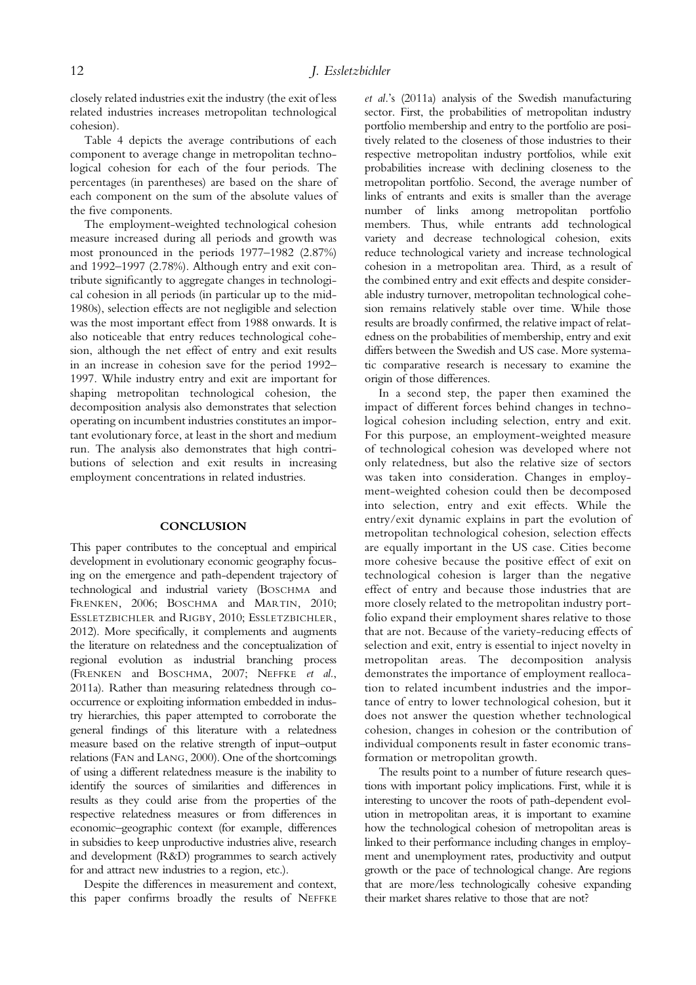closely related industries exit the industry (the exit of less related industries increases metropolitan technological cohesion).

Table 4 depicts the average contributions of each component to average change in metropolitan technological cohesion for each of the four periods. The percentages (in parentheses) are based on the share of each component on the sum of the absolute values of the five components.

The employment-weighted technological cohesion measure increased during all periods and growth was most pronounced in the periods 1977–1982 (2.87%) and 1992–1997 (2.78%). Although entry and exit contribute significantly to aggregate changes in technological cohesion in all periods (in particular up to the mid-1980s), selection effects are not negligible and selection was the most important effect from 1988 onwards. It is also noticeable that entry reduces technological cohesion, although the net effect of entry and exit results in an increase in cohesion save for the period 1992– 1997. While industry entry and exit are important for shaping metropolitan technological cohesion, the decomposition analysis also demonstrates that selection operating on incumbent industries constitutes an important evolutionary force, at least in the short and medium run. The analysis also demonstrates that high contributions of selection and exit results in increasing employment concentrations in related industries.

## **CONCLUSION**

This paper contributes to the conceptual and empirical development in evolutionary economic geography focusing on the emergence and path-dependent trajectory of technological and industrial variety (BOSCHMA and FRENKEN, 2006; BOSCHMA and MARTIN, 2010; ESSLETZBICHLER and RIGBY, 2010; ESSLETZBICHLER, 2012). More specifically, it complements and augments the literature on relatedness and the conceptualization of regional evolution as industrial branching process (FRENKEN and BOSCHMA, 2007; NEFFKE et al., 2011a). Rather than measuring relatedness through cooccurrence or exploiting information embedded in industry hierarchies, this paper attempted to corroborate the general findings of this literature with a relatedness measure based on the relative strength of input–output relations (FAN and LANG, 2000). One of the shortcomings of using a different relatedness measure is the inability to identify the sources of similarities and differences in results as they could arise from the properties of the respective relatedness measures or from differences in economic–geographic context (for example, differences in subsidies to keep unproductive industries alive, research and development (R&D) programmes to search actively for and attract new industries to a region, etc.).

Despite the differences in measurement and context, this paper confirms broadly the results of NEFFKE et al.'s (2011a) analysis of the Swedish manufacturing sector. First, the probabilities of metropolitan industry portfolio membership and entry to the portfolio are positively related to the closeness of those industries to their respective metropolitan industry portfolios, while exit probabilities increase with declining closeness to the metropolitan portfolio. Second, the average number of links of entrants and exits is smaller than the average number of links among metropolitan portfolio members. Thus, while entrants add technological variety and decrease technological cohesion, exits reduce technological variety and increase technological cohesion in a metropolitan area. Third, as a result of the combined entry and exit effects and despite considerable industry turnover, metropolitan technological cohesion remains relatively stable over time. While those results are broadly confirmed, the relative impact of relatedness on the probabilities of membership, entry and exit differs between the Swedish and US case. More systematic comparative research is necessary to examine the origin of those differences.

In a second step, the paper then examined the impact of different forces behind changes in technological cohesion including selection, entry and exit. For this purpose, an employment-weighted measure of technological cohesion was developed where not only relatedness, but also the relative size of sectors was taken into consideration. Changes in employment-weighted cohesion could then be decomposed into selection, entry and exit effects. While the entry/exit dynamic explains in part the evolution of metropolitan technological cohesion, selection effects are equally important in the US case. Cities become more cohesive because the positive effect of exit on technological cohesion is larger than the negative effect of entry and because those industries that are more closely related to the metropolitan industry portfolio expand their employment shares relative to those that are not. Because of the variety-reducing effects of selection and exit, entry is essential to inject novelty in metropolitan areas. The decomposition analysis demonstrates the importance of employment reallocation to related incumbent industries and the importance of entry to lower technological cohesion, but it does not answer the question whether technological cohesion, changes in cohesion or the contribution of individual components result in faster economic transformation or metropolitan growth.

The results point to a number of future research questions with important policy implications. First, while it is interesting to uncover the roots of path-dependent evolution in metropolitan areas, it is important to examine how the technological cohesion of metropolitan areas is linked to their performance including changes in employment and unemployment rates, productivity and output growth or the pace of technological change. Are regions that are more/less technologically cohesive expanding their market shares relative to those that are not?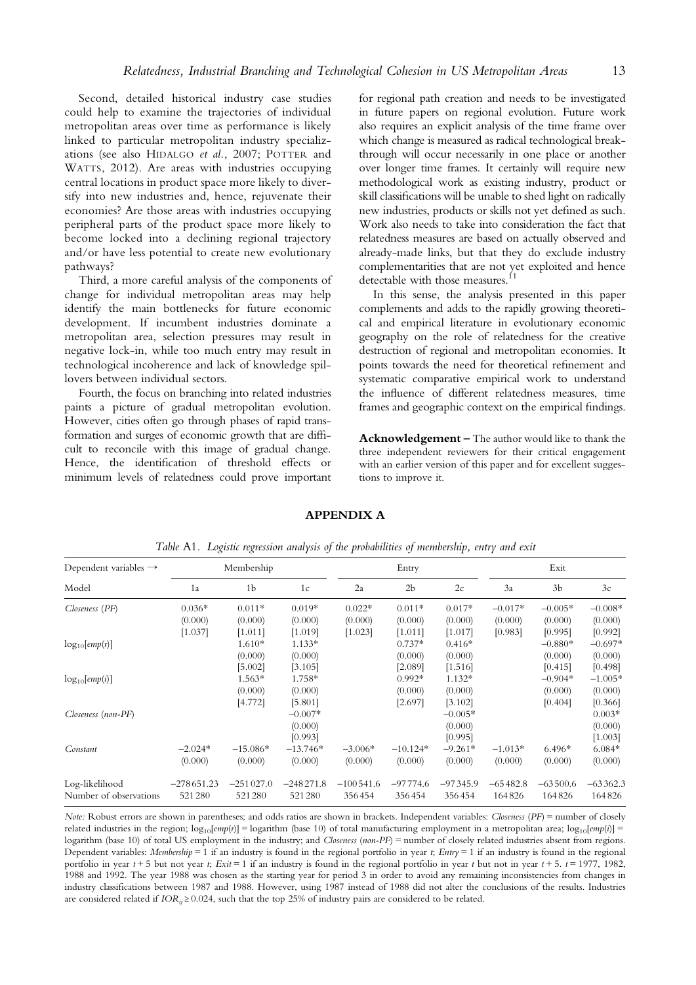Second, detailed historical industry case studies could help to examine the trajectories of individual metropolitan areas over time as performance is likely linked to particular metropolitan industry specializations (see also HIDALGO et al., 2007; POTTER and WATTS, 2012). Are areas with industries occupying central locations in product space more likely to diversify into new industries and, hence, rejuvenate their economies? Are those areas with industries occupying peripheral parts of the product space more likely to become locked into a declining regional trajectory and/or have less potential to create new evolutionary pathways?

Third, a more careful analysis of the components of change for individual metropolitan areas may help identify the main bottlenecks for future economic development. If incumbent industries dominate a metropolitan area, selection pressures may result in negative lock-in, while too much entry may result in technological incoherence and lack of knowledge spillovers between individual sectors.

Fourth, the focus on branching into related industries paints a picture of gradual metropolitan evolution. However, cities often go through phases of rapid transformation and surges of economic growth that are difficult to reconcile with this image of gradual change. Hence, the identification of threshold effects or minimum levels of relatedness could prove important for regional path creation and needs to be investigated in future papers on regional evolution. Future work also requires an explicit analysis of the time frame over which change is measured as radical technological breakthrough will occur necessarily in one place or another over longer time frames. It certainly will require new methodological work as existing industry, product or skill classifications will be unable to shed light on radically new industries, products or skills not yet defined as such. Work also needs to take into consideration the fact that relatedness measures are based on actually observed and already-made links, but that they do exclude industry complementarities that are not yet exploited and hence detectable with those measures.<sup>11</sup>

In this sense, the analysis presented in this paper complements and adds to the rapidly growing theoretical and empirical literature in evolutionary economic geography on the role of relatedness for the creative destruction of regional and metropolitan economies. It points towards the need for theoretical refinement and systematic comparative empirical work to understand the influence of different relatedness measures, time frames and geographic context on the empirical findings.

Acknowledgement - The author would like to thank the three independent reviewers for their critical engagement with an earlier version of this paper and for excellent suggestions to improve it.

#### APPENDIX A

| Dependent variables $\rightarrow$ | Membership   |                |             | Entry       |                |            | Exit       |                |            |
|-----------------------------------|--------------|----------------|-------------|-------------|----------------|------------|------------|----------------|------------|
| Model                             | 1a           | 1 <sub>b</sub> | 1c          | 2a          | 2 <sub>b</sub> | 2c         | 3a         | 3 <sub>b</sub> | 3c         |
| Closeness (PF)                    | $0.036*$     | $0.011*$       | $0.019*$    | $0.022*$    | $0.011*$       | $0.017*$   | $-0.017*$  | $-0.005*$      | $-0.008*$  |
|                                   | (0.000)      | (0.000)        | (0.000)     | (0.000)     | (0.000)        | (0.000)    | (0.000)    | (0.000)        | (0.000)    |
|                                   | [1.037]      | [1.011]        | [1.019]     | [1.023]     | [1.011]        | [1.017]    | [0.983]    | [0.995]        | [0.992]    |
| $log_{10}[emp(r)]$                |              | $1.610*$       | $1.133*$    |             | $0.737*$       | $0.416*$   |            | $-0.880*$      | $-0.697*$  |
|                                   |              | (0.000)        | (0.000)     |             | (0.000)        | (0.000)    |            | (0.000)        | (0.000)    |
|                                   |              | [5.002]        | [3.105]     |             | [2.089]        | [1.516]    |            | [0.415]        | [0.498]    |
| $log_{10}[emp(i)]$                |              | $1.563*$       | 1.758*      |             | $0.992*$       | $1.132*$   |            | $-0.904*$      | $-1.005*$  |
|                                   |              | (0.000)        | (0.000)     |             | (0.000)        | (0.000)    |            | (0.000)        | (0.000)    |
|                                   |              | [4.772]        | [5.801]     |             | [2.697]        | [3.102]    |            | [0.404]        | [0.366]    |
| Closeness (non-PF)                |              |                | $-0.007*$   |             |                | $-0.005*$  |            |                | $0.003*$   |
|                                   |              |                | (0.000)     |             |                | (0.000)    |            |                | (0.000)    |
|                                   |              |                | [0.993]     |             |                | [0.995]    |            |                | [1.003]    |
| Constant                          | $-2.024*$    | $-15.086*$     | $-13.746*$  | $-3.006*$   | $-10.124*$     | $-9.261*$  | $-1.013*$  | $6.496*$       | $6.084*$   |
|                                   | (0.000)      | (0.000)        | (0.000)     | (0.000)     | (0.000)        | (0.000)    | (0.000)    | (0.000)        | (0.000)    |
| Log-likelihood                    | $-278651.23$ | $-251027.0$    | $-248271.8$ | $-100541.6$ | $-97774.6$     | $-97345.9$ | $-65482.8$ | $-63500.6$     | $-63362.3$ |
| Number of observations            | 521280       | 521280         | 521280      | 356454      | 356454         | 356454     | 164826     | 164826         | 164826     |

Table A1. Logistic regression analysis of the probabilities of membership, entry and exit

Note: Robust errors are shown in parentheses; and odds ratios are shown in brackets. Independent variables: Closeness (PF) = number of closely related industries in the region;  $log_{10}[emp(r)] = logarithm$  (base 10) of total manufacturing employment in a metropolitan area;  $log_{10}[emp(r)] =$ logarithm (base 10) of total US employment in the industry; and Closeness (non-PF) = number of closely related industries absent from regions. Dependent variables: Membership = 1 if an industry is found in the regional portfolio in year t; Entry = 1 if an industry is found in the regional portfolio in year  $t + 5$  but not year t; Exit = 1 if an industry is found in the regional portfolio in year t but not in year  $t + 5$ .  $t = 1977$ , 1982, 1988 and 1992. The year 1988 was chosen as the starting year for period 3 in order to avoid any remaining inconsistencies from changes in industry classifications between 1987 and 1988. However, using 1987 instead of 1988 did not alter the conclusions of the results. Industries are considered related if  $IOR_{ij} \ge 0.024$ , such that the top 25% of industry pairs are considered to be related.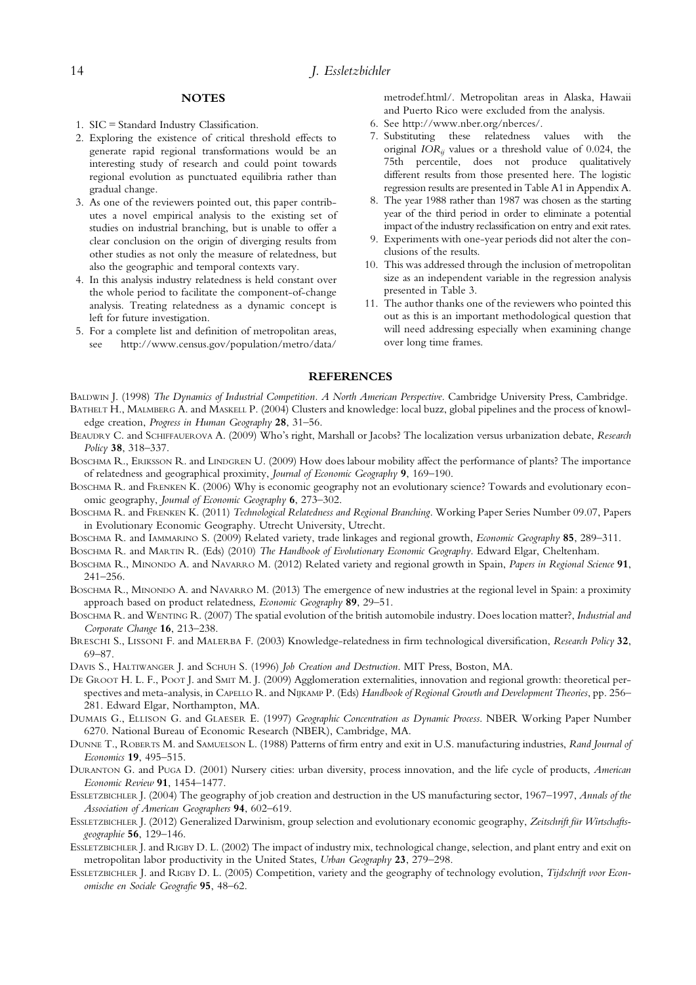#### **NOTES**

- 1. SIC = Standard Industry Classification.
- 2. Exploring the existence of critical threshold effects to generate rapid regional transformations would be an interesting study of research and could point towards regional evolution as punctuated equilibria rather than gradual change.
- 3. As one of the reviewers pointed out, this paper contributes a novel empirical analysis to the existing set of studies on industrial branching, but is unable to offer a clear conclusion on the origin of diverging results from other studies as not only the measure of relatedness, but also the geographic and temporal contexts vary.
- 4. In this analysis industry relatedness is held constant over the whole period to facilitate the component-of-change analysis. Treating relatedness as a dynamic concept is left for future investigation.
- 5. For a complete list and definition of metropolitan areas, see [http://www.census.gov/population/metro/data/](http://www.census.gov/population/metro/data/metrodef.html/)

[metrodef.html/.](http://www.census.gov/population/metro/data/metrodef.html/) Metropolitan areas in Alaska, Hawaii and Puerto Rico were excluded from the analysis.

- 6. See<http://www.nber.org/nberces/>.
- 7. Substituting these relatedness values with the original  $IOR_{ii}$  values or a threshold value of 0.024, the 75th percentile, does not produce qualitatively different results from those presented here. The logistic regression results are presented in Table A1 in Appendix A.
- 8. The year 1988 rather than 1987 was chosen as the starting year of the third period in order to eliminate a potential impact of the industry reclassification on entry and exit rates.
- 9. Experiments with one-year periods did not alter the conclusions of the results.
- 10. This was addressed through the inclusion of metropolitan size as an independent variable in the regression analysis presented in Table 3.
- 11. The author thanks one of the reviewers who pointed this out as this is an important methodological question that will need addressing especially when examining change over long time frames.

#### **REFERENCES**

- BALDWIN J. (1998) The Dynamics of Industrial Competition. A North American Perspective. Cambridge University Press, Cambridge. BATHELT H., MALMBERG A. and MASKELL P. (2004) Clusters and knowledge: local buzz, global pipelines and the process of knowledge creation, Progress in Human Geography 28, 31–56.
- BEAUDRY C. and SCHIFFAUEROVA A. (2009) Who's right, Marshall or Jacobs? The localization versus urbanization debate, Research Policy 38, 318–337.
- BOSCHMA R., ERIKSSON R. and LINDGREN U. (2009) How does labour mobility affect the performance of plants? The importance of relatedness and geographical proximity, Journal of Economic Geography 9, 169–190.
- BOSCHMA R. and FRENKEN K. (2006) Why is economic geography not an evolutionary science? Towards and evolutionary economic geography, Journal of Economic Geography 6, 273–302.
- BOSCHMA R. and FRENKEN K. (2011) Technological Relatedness and Regional Branching. Working Paper Series Number 09.07, Papers in Evolutionary Economic Geography. Utrecht University, Utrecht.
- BOSCHMA R. and IAMMARINO S. (2009) Related variety, trade linkages and regional growth, Economic Geography 85, 289-311.
- BOSCHMA R. and MARTIN R. (Eds) (2010) The Handbook of Evolutionary Economic Geography. Edward Elgar, Cheltenham.

BOSCHMA R., MINONDO A. and NAVARRO M. (2012) Related variety and regional growth in Spain, Papers in Regional Science 91, 241–256.

- BOSCHMA R., MINONDO A. and NAVARRO M. (2013) The emergence of new industries at the regional level in Spain: a proximity approach based on product relatedness, Economic Geography 89, 29–51.
- BOSCHMA R. and WENTING R. (2007) The spatial evolution of the british automobile industry. Does location matter?, Industrial and Corporate Change 16, 213–238.
- BRESCHI S., LISSONI F. and MALERBA F. (2003) Knowledge-relatedness in firm technological diversification, Research Policy 32, 69–87.

DAVIS S., HALTIWANGER J. and SCHUH S. (1996) Job Creation and Destruction. MIT Press, Boston, MA.

- DE GROOT H. L. F., POOT J. and SMIT M. J. (2009) Agglomeration externalities, innovation and regional growth: theoretical perspectives and meta-analysis, in CAPELLO R. and NIJKAMP P. (Eds) Handbook of Regional Growth and Development Theories, pp. 256– 281. Edward Elgar, Northampton, MA.
- DUMAIS G., ELLISON G. and GLAESER E. (1997) Geographic Concentration as Dynamic Process. NBER Working Paper Number 6270. National Bureau of Economic Research (NBER), Cambridge, MA.
- DUNNE T., ROBERTS M. and SAMUELSON L. (1988) Patterns of firm entry and exit in U.S. manufacturing industries, Rand Journal of Economics 19, 495–515.
- DURANTON G. and PUGA D. (2001) Nursery cities: urban diversity, process innovation, and the life cycle of products, American Economic Review 91, 1454–1477.
- ESSLETZBICHLER J. (2004) The geography of job creation and destruction in the US manufacturing sector, 1967–1997, Annals of the Association of American Geographers 94, 602–619.
- ESSLETZBICHLER J. (2012) Generalized Darwinism, group selection and evolutionary economic geography, Zeitschrift für Wirtschaftsgeographie 56, 129–146.
- ESSLETZBICHLER J. and RIGBY D. L. (2002) The impact of industry mix, technological change, selection, and plant entry and exit on metropolitan labor productivity in the United States, Urban Geography 23, 279–298.
- ESSLETZBICHLER J. and RIGBY D. L. (2005) Competition, variety and the geography of technology evolution, Tijdschrift voor Economische en Sociale Geografie 95, 48–62.